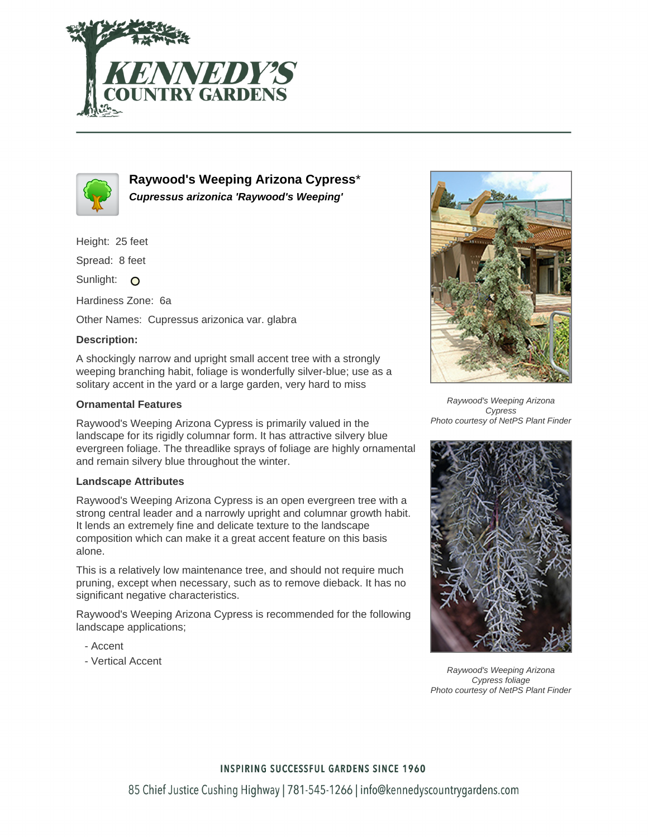



**Raywood's Weeping Arizona Cypress**\* **Cupressus arizonica 'Raywood's Weeping'**

Height: 25 feet

Spread: 8 feet

Sunlight: O

Hardiness Zone: 6a

Other Names: Cupressus arizonica var. glabra

## **Description:**

A shockingly narrow and upright small accent tree with a strongly weeping branching habit, foliage is wonderfully silver-blue; use as a solitary accent in the yard or a large garden, very hard to miss

### **Ornamental Features**

Raywood's Weeping Arizona Cypress is primarily valued in the landscape for its rigidly columnar form. It has attractive silvery blue evergreen foliage. The threadlike sprays of foliage are highly ornamental and remain silvery blue throughout the winter.

#### **Landscape Attributes**

Raywood's Weeping Arizona Cypress is an open evergreen tree with a strong central leader and a narrowly upright and columnar growth habit. It lends an extremely fine and delicate texture to the landscape composition which can make it a great accent feature on this basis alone.

This is a relatively low maintenance tree, and should not require much pruning, except when necessary, such as to remove dieback. It has no significant negative characteristics.

Raywood's Weeping Arizona Cypress is recommended for the following landscape applications;

- Accent
- Vertical Accent



Raywood's Weeping Arizona Cypress Photo courtesy of NetPS Plant Finder



Raywood's Weeping Arizona Cypress foliage Photo courtesy of NetPS Plant Finder

#### **INSPIRING SUCCESSFUL GARDENS SINCE 1960**

85 Chief Justice Cushing Highway | 781-545-1266 | info@kennedyscountrygardens.com